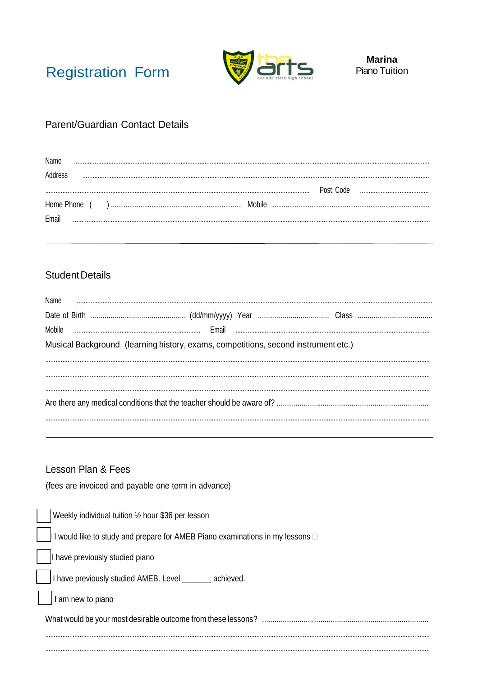



## Parent/Guardian Contact Details

| Name                |           |
|---------------------|-----------|
| Address             |           |
|                     | Post Code |
| Home Phone<br>Email | Mobile    |
|                     |           |

## **Student Details**

| Name                                                                               |       |  |
|------------------------------------------------------------------------------------|-------|--|
|                                                                                    |       |  |
| Mobile                                                                             | Fmail |  |
| Musical Background (learning history, exams, competitions, second instrument etc.) |       |  |
|                                                                                    |       |  |
|                                                                                    |       |  |
|                                                                                    |       |  |
|                                                                                    |       |  |
|                                                                                    |       |  |

### Lesson Plan & Fees

(fees are invoiced and payable one term in advance)

| Weekly individual tuition 1/2 hour \$36 per lesson                                 |
|------------------------------------------------------------------------------------|
| I would like to study and prepare for AMEB Piano examinations in my lessons $\Box$ |
| I have previously studied piano                                                    |
| I have previously studied AMEB. Level _______ achieved.                            |
| am new to piano                                                                    |
|                                                                                    |
|                                                                                    |
|                                                                                    |